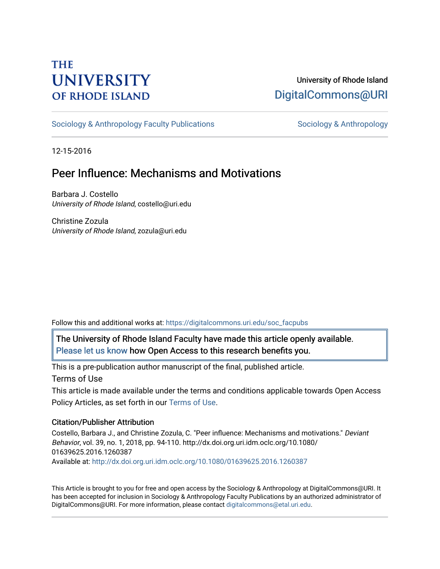# **THE UNIVERSITY OF RHODE ISLAND**

## University of Rhode Island [DigitalCommons@URI](https://digitalcommons.uri.edu/)

[Sociology & Anthropology Faculty Publications](https://digitalcommons.uri.edu/soc_facpubs) [Sociology & Anthropology](https://digitalcommons.uri.edu/soc) & Anthropology

12-15-2016

## Peer Influence: Mechanisms and Motivations

Barbara J. Costello University of Rhode Island, costello@uri.edu

Christine Zozula University of Rhode Island, zozula@uri.edu

Follow this and additional works at: [https://digitalcommons.uri.edu/soc\\_facpubs](https://digitalcommons.uri.edu/soc_facpubs?utm_source=digitalcommons.uri.edu%2Fsoc_facpubs%2F14&utm_medium=PDF&utm_campaign=PDFCoverPages) 

The University of Rhode Island Faculty have made this article openly available. [Please let us know](http://web.uri.edu/library-digital-initiatives/open-access-online-form/) how Open Access to this research benefits you.

This is a pre-publication author manuscript of the final, published article.

Terms of Use

This article is made available under the terms and conditions applicable towards Open Access Policy Articles, as set forth in our [Terms of Use](https://digitalcommons.uri.edu/soc_facpubs/oa_policy_terms.html).

## Citation/Publisher Attribution

Costello, Barbara J., and Christine Zozula, C. "Peer influence: Mechanisms and motivations." Deviant Behavior, vol. 39, no. 1, 2018, pp. 94-110. http://dx.doi.org.uri.idm.oclc.org/10.1080/ 01639625.2016.1260387 Available at:<http://dx.doi.org.uri.idm.oclc.org/10.1080/01639625.2016.1260387>

This Article is brought to you for free and open access by the Sociology & Anthropology at DigitalCommons@URI. It has been accepted for inclusion in Sociology & Anthropology Faculty Publications by an authorized administrator of DigitalCommons@URI. For more information, please contact [digitalcommons@etal.uri.edu.](mailto:digitalcommons@etal.uri.edu)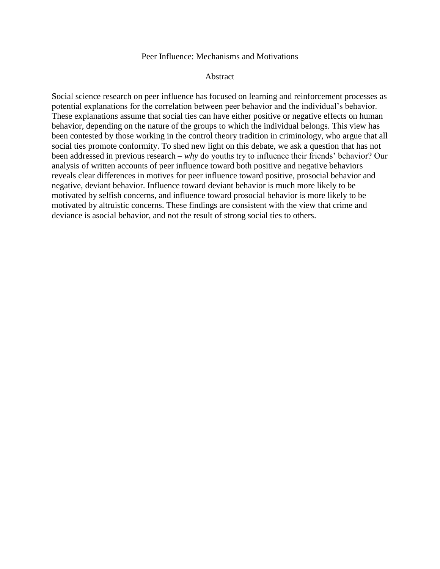#### Peer Influence: Mechanisms and Motivations

#### **Abstract**

Social science research on peer influence has focused on learning and reinforcement processes as potential explanations for the correlation between peer behavior and the individual's behavior. These explanations assume that social ties can have either positive or negative effects on human behavior, depending on the nature of the groups to which the individual belongs. This view has been contested by those working in the control theory tradition in criminology, who argue that all social ties promote conformity. To shed new light on this debate, we ask a question that has not been addressed in previous research – *why* do youths try to influence their friends' behavior? Our analysis of written accounts of peer influence toward both positive and negative behaviors reveals clear differences in motives for peer influence toward positive, prosocial behavior and negative, deviant behavior. Influence toward deviant behavior is much more likely to be motivated by selfish concerns, and influence toward prosocial behavior is more likely to be motivated by altruistic concerns. These findings are consistent with the view that crime and deviance is asocial behavior, and not the result of strong social ties to others.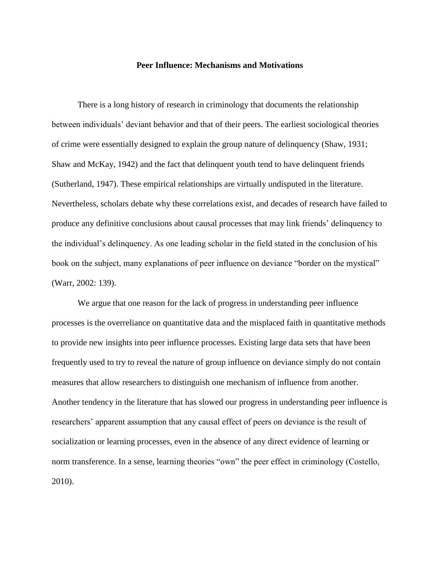#### **Peer Influence: Mechanisms and Motivations**

There is a long history of research in criminology that documents the relationship between individuals' deviant behavior and that of their peers. The earliest sociological theories of crime were essentially designed to explain the group nature of delinquency (Shaw, 1931; Shaw and McKay, 1942) and the fact that delinquent youth tend to have delinquent friends (Sutherland, 1947). These empirical relationships are virtually undisputed in the literature. Nevertheless, scholars debate why these correlations exist, and decades of research have failed to produce any definitive conclusions about causal processes that may link friends' delinquency to the individual's delinquency. As one leading scholar in the field stated in the conclusion of his book on the subject, many explanations of peer influence on deviance "border on the mystical" (Warr, 2002: 139).

We argue that one reason for the lack of progress in understanding peer influence processes is the overreliance on quantitative data and the misplaced faith in quantitative methods to provide new insights into peer influence processes. Existing large data sets that have been frequently used to try to reveal the nature of group influence on deviance simply do not contain measures that allow researchers to distinguish one mechanism of influence from another. Another tendency in the literature that has slowed our progress in understanding peer influence is researchers' apparent assumption that any causal effect of peers on deviance is the result of socialization or learning processes, even in the absence of any direct evidence of learning or norm transference. In a sense, learning theories "own" the peer effect in criminology (Costello, 2010).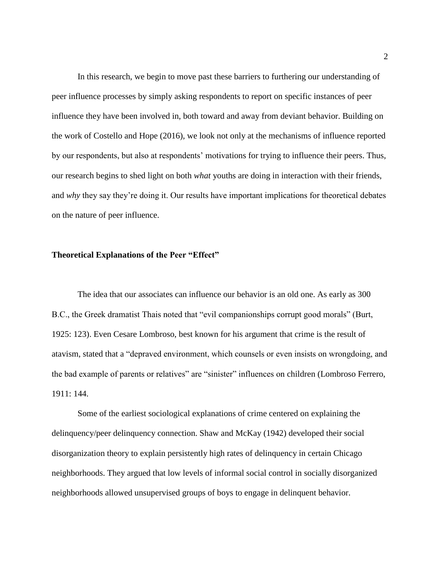In this research, we begin to move past these barriers to furthering our understanding of peer influence processes by simply asking respondents to report on specific instances of peer influence they have been involved in, both toward and away from deviant behavior. Building on the work of Costello and Hope (2016), we look not only at the mechanisms of influence reported by our respondents, but also at respondents' motivations for trying to influence their peers. Thus, our research begins to shed light on both *what* youths are doing in interaction with their friends, and *why* they say they're doing it. Our results have important implications for theoretical debates on the nature of peer influence.

#### **Theoretical Explanations of the Peer "Effect"**

The idea that our associates can influence our behavior is an old one. As early as 300 B.C., the Greek dramatist Thais noted that "evil companionships corrupt good morals" (Burt, 1925: 123). Even Cesare Lombroso, best known for his argument that crime is the result of atavism, stated that a "depraved environment, which counsels or even insists on wrongdoing, and the bad example of parents or relatives" are "sinister" influences on children (Lombroso Ferrero, 1911: 144.

Some of the earliest sociological explanations of crime centered on explaining the delinquency/peer delinquency connection. Shaw and McKay (1942) developed their social disorganization theory to explain persistently high rates of delinquency in certain Chicago neighborhoods. They argued that low levels of informal social control in socially disorganized neighborhoods allowed unsupervised groups of boys to engage in delinquent behavior.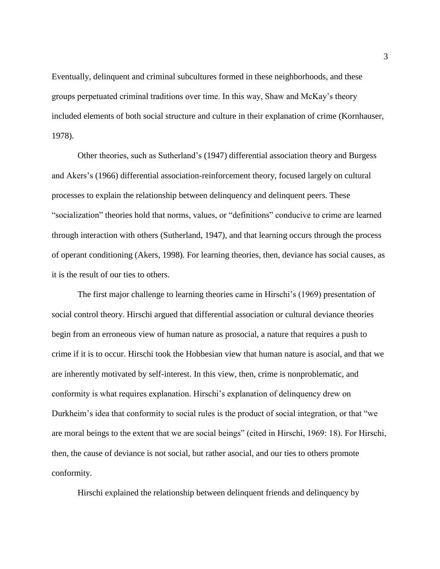Eventually, delinquent and criminal subcultures formed in these neighborhoods, and these groups perpetuated criminal traditions over time. In this way, Shaw and McKay's theory included elements of both social structure and culture in their explanation of crime (Kornhauser, 1978).

Other theories, such as Sutherland's (1947) differential association theory and Burgess and Akers's (1966) differential association-reinforcement theory, focused largely on cultural processes to explain the relationship between delinquency and delinquent peers. These "socialization" theories hold that norms, values, or "definitions" conducive to crime are learned through interaction with others (Sutherland, 1947), and that learning occurs through the process of operant conditioning (Akers, 1998). For learning theories, then, deviance has social causes, as it is the result of our ties to others.

The first major challenge to learning theories came in Hirschi's (1969) presentation of social control theory. Hirschi argued that differential association or cultural deviance theories begin from an erroneous view of human nature as prosocial, a nature that requires a push to crime if it is to occur. Hirschi took the Hobbesian view that human nature is asocial, and that we are inherently motivated by self-interest. In this view, then, crime is nonproblematic, and conformity is what requires explanation. Hirschi's explanation of delinquency drew on Durkheim's idea that conformity to social rules is the product of social integration, or that "we are moral beings to the extent that we are social beings" (cited in Hirschi, 1969: 18). For Hirschi, then, the cause of deviance is not social, but rather asocial, and our ties to others promote conformity.

Hirschi explained the relationship between delinquent friends and delinquency by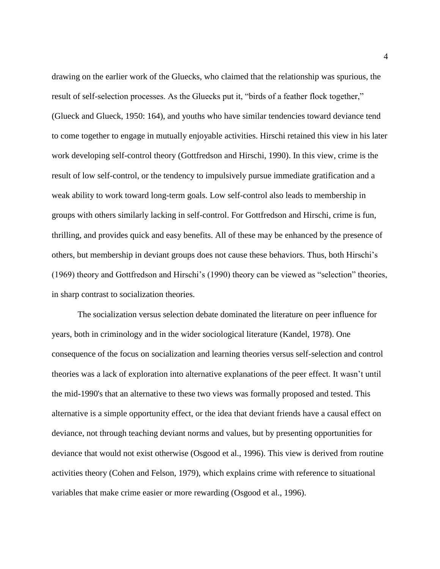drawing on the earlier work of the Gluecks, who claimed that the relationship was spurious, the result of self-selection processes. As the Gluecks put it, "birds of a feather flock together," (Glueck and Glueck, 1950: 164), and youths who have similar tendencies toward deviance tend to come together to engage in mutually enjoyable activities. Hirschi retained this view in his later work developing self-control theory (Gottfredson and Hirschi, 1990). In this view, crime is the result of low self-control, or the tendency to impulsively pursue immediate gratification and a weak ability to work toward long-term goals. Low self-control also leads to membership in groups with others similarly lacking in self-control. For Gottfredson and Hirschi, crime is fun, thrilling, and provides quick and easy benefits. All of these may be enhanced by the presence of others, but membership in deviant groups does not cause these behaviors. Thus, both Hirschi's (1969) theory and Gottfredson and Hirschi's (1990) theory can be viewed as "selection" theories, in sharp contrast to socialization theories.

The socialization versus selection debate dominated the literature on peer influence for years, both in criminology and in the wider sociological literature (Kandel, 1978). One consequence of the focus on socialization and learning theories versus self-selection and control theories was a lack of exploration into alternative explanations of the peer effect. It wasn't until the mid-1990's that an alternative to these two views was formally proposed and tested. This alternative is a simple opportunity effect, or the idea that deviant friends have a causal effect on deviance, not through teaching deviant norms and values, but by presenting opportunities for deviance that would not exist otherwise (Osgood et al., 1996). This view is derived from routine activities theory (Cohen and Felson, 1979), which explains crime with reference to situational variables that make crime easier or more rewarding (Osgood et al., 1996).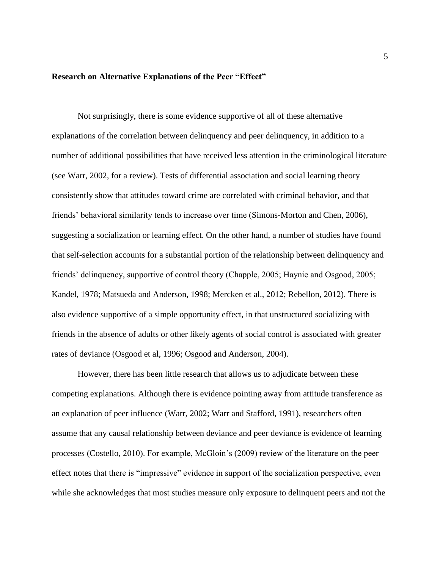#### **Research on Alternative Explanations of the Peer "Effect"**

Not surprisingly, there is some evidence supportive of all of these alternative explanations of the correlation between delinquency and peer delinquency, in addition to a number of additional possibilities that have received less attention in the criminological literature (see Warr, 2002, for a review). Tests of differential association and social learning theory consistently show that attitudes toward crime are correlated with criminal behavior, and that friends' behavioral similarity tends to increase over time (Simons-Morton and Chen, 2006), suggesting a socialization or learning effect. On the other hand, a number of studies have found that self-selection accounts for a substantial portion of the relationship between delinquency and friends' delinquency, supportive of control theory (Chapple, 2005; Haynie and Osgood, 2005; Kandel, 1978; Matsueda and Anderson, 1998; Mercken et al., 2012; Rebellon, 2012). There is also evidence supportive of a simple opportunity effect, in that unstructured socializing with friends in the absence of adults or other likely agents of social control is associated with greater rates of deviance (Osgood et al, 1996; Osgood and Anderson, 2004).

However, there has been little research that allows us to adjudicate between these competing explanations. Although there is evidence pointing away from attitude transference as an explanation of peer influence (Warr, 2002; Warr and Stafford, 1991), researchers often assume that any causal relationship between deviance and peer deviance is evidence of learning processes (Costello, 2010). For example, McGloin's (2009) review of the literature on the peer effect notes that there is "impressive" evidence in support of the socialization perspective, even while she acknowledges that most studies measure only exposure to delinquent peers and not the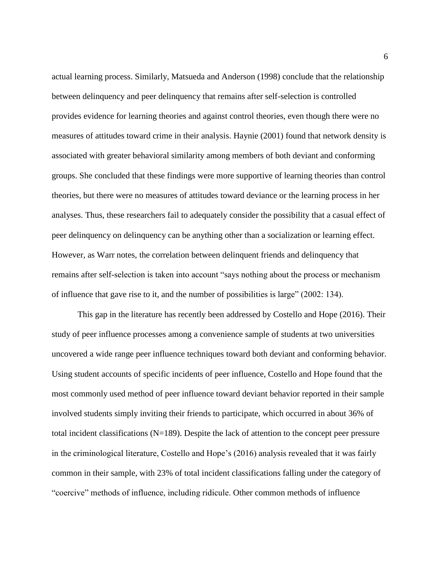actual learning process. Similarly, Matsueda and Anderson (1998) conclude that the relationship between delinquency and peer delinquency that remains after self-selection is controlled provides evidence for learning theories and against control theories, even though there were no measures of attitudes toward crime in their analysis. Haynie (2001) found that network density is associated with greater behavioral similarity among members of both deviant and conforming groups. She concluded that these findings were more supportive of learning theories than control theories, but there were no measures of attitudes toward deviance or the learning process in her analyses. Thus, these researchers fail to adequately consider the possibility that a casual effect of peer delinquency on delinquency can be anything other than a socialization or learning effect. However, as Warr notes, the correlation between delinquent friends and delinquency that remains after self-selection is taken into account "says nothing about the process or mechanism of influence that gave rise to it, and the number of possibilities is large" (2002: 134).

This gap in the literature has recently been addressed by Costello and Hope (2016). Their study of peer influence processes among a convenience sample of students at two universities uncovered a wide range peer influence techniques toward both deviant and conforming behavior. Using student accounts of specific incidents of peer influence, Costello and Hope found that the most commonly used method of peer influence toward deviant behavior reported in their sample involved students simply inviting their friends to participate, which occurred in about 36% of total incident classifications  $(N=189)$ . Despite the lack of attention to the concept peer pressure in the criminological literature, Costello and Hope's (2016) analysis revealed that it was fairly common in their sample, with 23% of total incident classifications falling under the category of "coercive" methods of influence, including ridicule. Other common methods of influence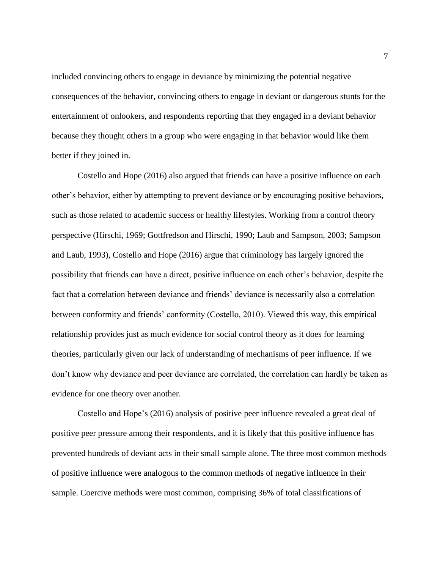included convincing others to engage in deviance by minimizing the potential negative consequences of the behavior, convincing others to engage in deviant or dangerous stunts for the entertainment of onlookers, and respondents reporting that they engaged in a deviant behavior because they thought others in a group who were engaging in that behavior would like them better if they joined in.

Costello and Hope (2016) also argued that friends can have a positive influence on each other's behavior, either by attempting to prevent deviance or by encouraging positive behaviors, such as those related to academic success or healthy lifestyles. Working from a control theory perspective (Hirschi, 1969; Gottfredson and Hirschi, 1990; Laub and Sampson, 2003; Sampson and Laub, 1993), Costello and Hope (2016) argue that criminology has largely ignored the possibility that friends can have a direct, positive influence on each other's behavior, despite the fact that a correlation between deviance and friends' deviance is necessarily also a correlation between conformity and friends' conformity (Costello, 2010). Viewed this way, this empirical relationship provides just as much evidence for social control theory as it does for learning theories, particularly given our lack of understanding of mechanisms of peer influence. If we don't know why deviance and peer deviance are correlated, the correlation can hardly be taken as evidence for one theory over another.

Costello and Hope's (2016) analysis of positive peer influence revealed a great deal of positive peer pressure among their respondents, and it is likely that this positive influence has prevented hundreds of deviant acts in their small sample alone. The three most common methods of positive influence were analogous to the common methods of negative influence in their sample. Coercive methods were most common, comprising 36% of total classifications of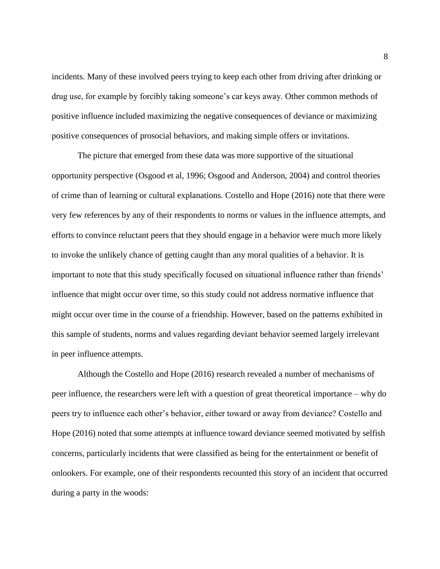incidents. Many of these involved peers trying to keep each other from driving after drinking or drug use, for example by forcibly taking someone's car keys away. Other common methods of positive influence included maximizing the negative consequences of deviance or maximizing positive consequences of prosocial behaviors, and making simple offers or invitations.

The picture that emerged from these data was more supportive of the situational opportunity perspective (Osgood et al, 1996; Osgood and Anderson, 2004) and control theories of crime than of learning or cultural explanations. Costello and Hope (2016) note that there were very few references by any of their respondents to norms or values in the influence attempts, and efforts to convince reluctant peers that they should engage in a behavior were much more likely to invoke the unlikely chance of getting caught than any moral qualities of a behavior. It is important to note that this study specifically focused on situational influence rather than friends' influence that might occur over time, so this study could not address normative influence that might occur over time in the course of a friendship. However, based on the patterns exhibited in this sample of students, norms and values regarding deviant behavior seemed largely irrelevant in peer influence attempts.

Although the Costello and Hope (2016) research revealed a number of mechanisms of peer influence, the researchers were left with a question of great theoretical importance – why do peers try to influence each other's behavior, either toward or away from deviance? Costello and Hope (2016) noted that some attempts at influence toward deviance seemed motivated by selfish concerns, particularly incidents that were classified as being for the entertainment or benefit of onlookers. For example, one of their respondents recounted this story of an incident that occurred during a party in the woods: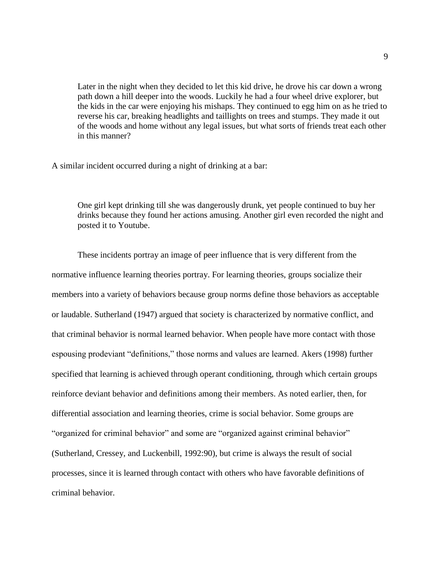Later in the night when they decided to let this kid drive, he drove his car down a wrong path down a hill deeper into the woods. Luckily he had a four wheel drive explorer, but the kids in the car were enjoying his mishaps. They continued to egg him on as he tried to reverse his car, breaking headlights and taillights on trees and stumps. They made it out of the woods and home without any legal issues, but what sorts of friends treat each other in this manner?

A similar incident occurred during a night of drinking at a bar:

One girl kept drinking till she was dangerously drunk, yet people continued to buy her drinks because they found her actions amusing. Another girl even recorded the night and posted it to Youtube.

These incidents portray an image of peer influence that is very different from the normative influence learning theories portray. For learning theories, groups socialize their members into a variety of behaviors because group norms define those behaviors as acceptable or laudable. Sutherland (1947) argued that society is characterized by normative conflict, and that criminal behavior is normal learned behavior. When people have more contact with those espousing prodeviant "definitions," those norms and values are learned. Akers (1998) further specified that learning is achieved through operant conditioning, through which certain groups reinforce deviant behavior and definitions among their members. As noted earlier, then, for differential association and learning theories, crime is social behavior. Some groups are "organized for criminal behavior" and some are "organized against criminal behavior" (Sutherland, Cressey, and Luckenbill, 1992:90), but crime is always the result of social processes, since it is learned through contact with others who have favorable definitions of criminal behavior.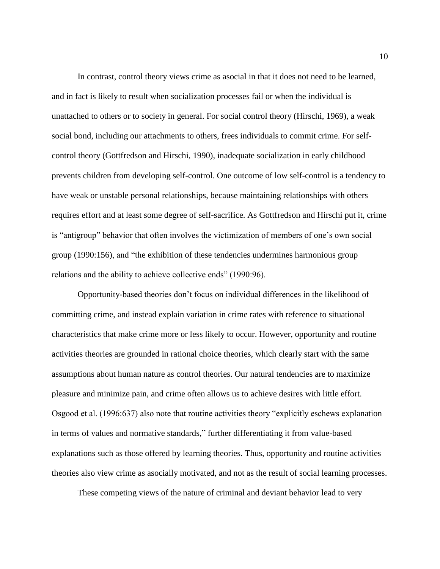In contrast, control theory views crime as asocial in that it does not need to be learned, and in fact is likely to result when socialization processes fail or when the individual is unattached to others or to society in general. For social control theory (Hirschi, 1969), a weak social bond, including our attachments to others, frees individuals to commit crime. For selfcontrol theory (Gottfredson and Hirschi, 1990), inadequate socialization in early childhood prevents children from developing self-control. One outcome of low self-control is a tendency to have weak or unstable personal relationships, because maintaining relationships with others requires effort and at least some degree of self-sacrifice. As Gottfredson and Hirschi put it, crime is "antigroup" behavior that often involves the victimization of members of one's own social group (1990:156), and "the exhibition of these tendencies undermines harmonious group relations and the ability to achieve collective ends" (1990:96).

Opportunity-based theories don't focus on individual differences in the likelihood of committing crime, and instead explain variation in crime rates with reference to situational characteristics that make crime more or less likely to occur. However, opportunity and routine activities theories are grounded in rational choice theories, which clearly start with the same assumptions about human nature as control theories. Our natural tendencies are to maximize pleasure and minimize pain, and crime often allows us to achieve desires with little effort. Osgood et al. (1996:637) also note that routine activities theory "explicitly eschews explanation in terms of values and normative standards," further differentiating it from value-based explanations such as those offered by learning theories. Thus, opportunity and routine activities theories also view crime as asocially motivated, and not as the result of social learning processes.

These competing views of the nature of criminal and deviant behavior lead to very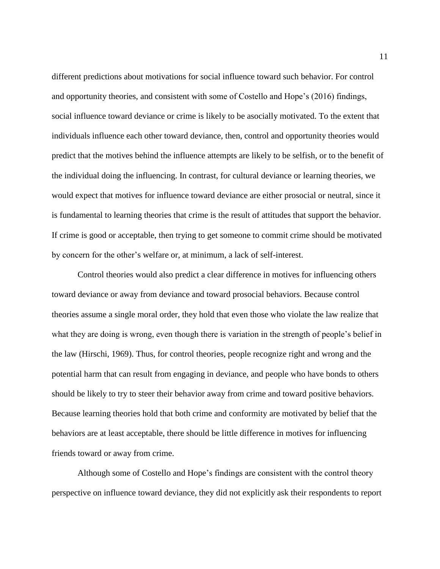different predictions about motivations for social influence toward such behavior. For control and opportunity theories, and consistent with some of Costello and Hope's (2016) findings, social influence toward deviance or crime is likely to be asocially motivated. To the extent that individuals influence each other toward deviance, then, control and opportunity theories would predict that the motives behind the influence attempts are likely to be selfish, or to the benefit of the individual doing the influencing. In contrast, for cultural deviance or learning theories, we would expect that motives for influence toward deviance are either prosocial or neutral, since it is fundamental to learning theories that crime is the result of attitudes that support the behavior. If crime is good or acceptable, then trying to get someone to commit crime should be motivated by concern for the other's welfare or, at minimum, a lack of self-interest.

Control theories would also predict a clear difference in motives for influencing others toward deviance or away from deviance and toward prosocial behaviors. Because control theories assume a single moral order, they hold that even those who violate the law realize that what they are doing is wrong, even though there is variation in the strength of people's belief in the law (Hirschi, 1969). Thus, for control theories, people recognize right and wrong and the potential harm that can result from engaging in deviance, and people who have bonds to others should be likely to try to steer their behavior away from crime and toward positive behaviors. Because learning theories hold that both crime and conformity are motivated by belief that the behaviors are at least acceptable, there should be little difference in motives for influencing friends toward or away from crime.

Although some of Costello and Hope's findings are consistent with the control theory perspective on influence toward deviance, they did not explicitly ask their respondents to report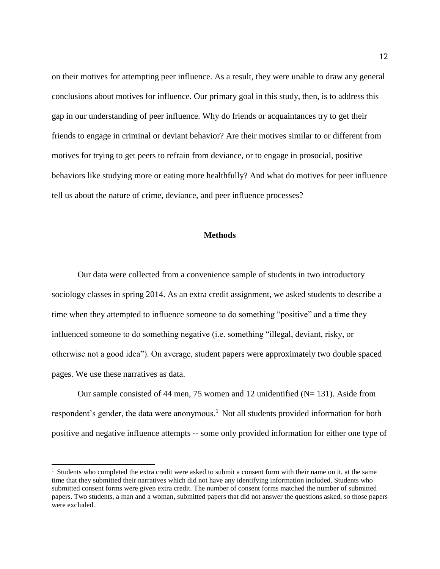on their motives for attempting peer influence. As a result, they were unable to draw any general conclusions about motives for influence. Our primary goal in this study, then, is to address this gap in our understanding of peer influence. Why do friends or acquaintances try to get their friends to engage in criminal or deviant behavior? Are their motives similar to or different from motives for trying to get peers to refrain from deviance, or to engage in prosocial, positive behaviors like studying more or eating more healthfully? And what do motives for peer influence tell us about the nature of crime, deviance, and peer influence processes?

#### **Methods**

Our data were collected from a convenience sample of students in two introductory sociology classes in spring 2014. As an extra credit assignment, we asked students to describe a time when they attempted to influence someone to do something "positive" and a time they influenced someone to do something negative (i.e. something "illegal, deviant, risky, or otherwise not a good idea"). On average, student papers were approximately two double spaced pages. We use these narratives as data.

Our sample consisted of 44 men, 75 women and 12 unidentified  $(N= 131)$ . Aside from respondent's gender, the data were anonymous.<sup>1</sup> Not all students provided information for both positive and negative influence attempts -- some only provided information for either one type of

 $\overline{a}$ 

<sup>&</sup>lt;sup>1</sup> Students who completed the extra credit were asked to submit a consent form with their name on it, at the same time that they submitted their narratives which did not have any identifying information included. Students who submitted consent forms were given extra credit. The number of consent forms matched the number of submitted papers. Two students, a man and a woman, submitted papers that did not answer the questions asked, so those papers were excluded.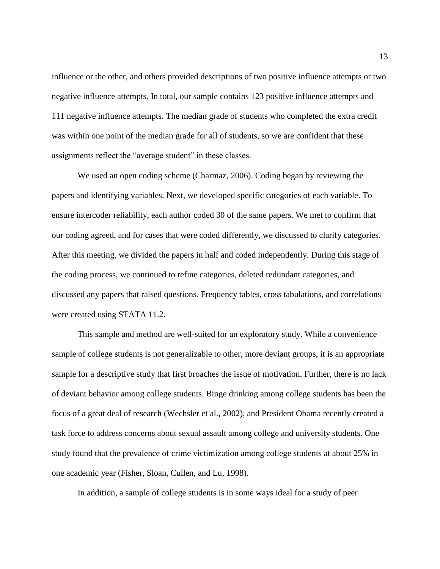influence or the other, and others provided descriptions of two positive influence attempts or two negative influence attempts. In total, our sample contains 123 positive influence attempts and 111 negative influence attempts. The median grade of students who completed the extra credit was within one point of the median grade for all of students, so we are confident that these assignments reflect the "average student" in these classes.

We used an open coding scheme (Charmaz, 2006). Coding began by reviewing the papers and identifying variables. Next, we developed specific categories of each variable. To ensure intercoder reliability, each author coded 30 of the same papers. We met to confirm that our coding agreed, and for cases that were coded differently, we discussed to clarify categories. After this meeting, we divided the papers in half and coded independently. During this stage of the coding process, we continued to refine categories, deleted redundant categories, and discussed any papers that raised questions. Frequency tables, cross tabulations, and correlations were created using STATA 11.2.

This sample and method are well-suited for an exploratory study. While a convenience sample of college students is not generalizable to other, more deviant groups, it is an appropriate sample for a descriptive study that first broaches the issue of motivation. Further, there is no lack of deviant behavior among college students. Binge drinking among college students has been the focus of a great deal of research (Wechsler et al., 2002), and President Obama recently created a task force to address concerns about sexual assault among college and university students. One study found that the prevalence of crime victimization among college students at about 25% in one academic year (Fisher, Sloan, Cullen, and Lu, 1998).

In addition, a sample of college students is in some ways ideal for a study of peer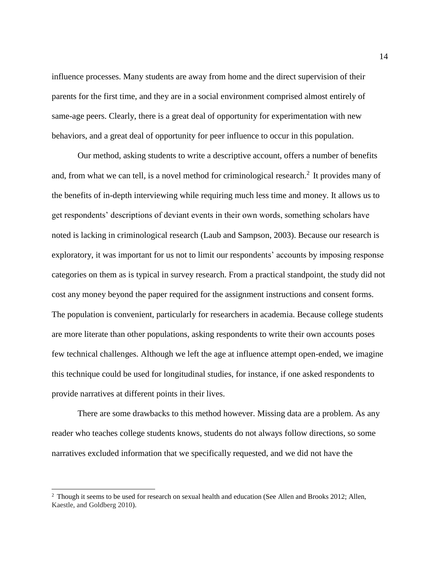influence processes. Many students are away from home and the direct supervision of their parents for the first time, and they are in a social environment comprised almost entirely of same-age peers. Clearly, there is a great deal of opportunity for experimentation with new behaviors, and a great deal of opportunity for peer influence to occur in this population.

Our method, asking students to write a descriptive account, offers a number of benefits and, from what we can tell, is a novel method for criminological research.<sup>2</sup> It provides many of the benefits of in-depth interviewing while requiring much less time and money. It allows us to get respondents' descriptions of deviant events in their own words, something scholars have noted is lacking in criminological research (Laub and Sampson, 2003). Because our research is exploratory, it was important for us not to limit our respondents' accounts by imposing response categories on them as is typical in survey research. From a practical standpoint, the study did not cost any money beyond the paper required for the assignment instructions and consent forms. The population is convenient, particularly for researchers in academia. Because college students are more literate than other populations, asking respondents to write their own accounts poses few technical challenges. Although we left the age at influence attempt open-ended, we imagine this technique could be used for longitudinal studies, for instance, if one asked respondents to provide narratives at different points in their lives.

There are some drawbacks to this method however. Missing data are a problem. As any reader who teaches college students knows, students do not always follow directions, so some narratives excluded information that we specifically requested, and we did not have the

l

<sup>&</sup>lt;sup>2</sup> Though it seems to be used for research on sexual health and education (See Allen and Brooks 2012; Allen, Kaestle, and Goldberg 2010).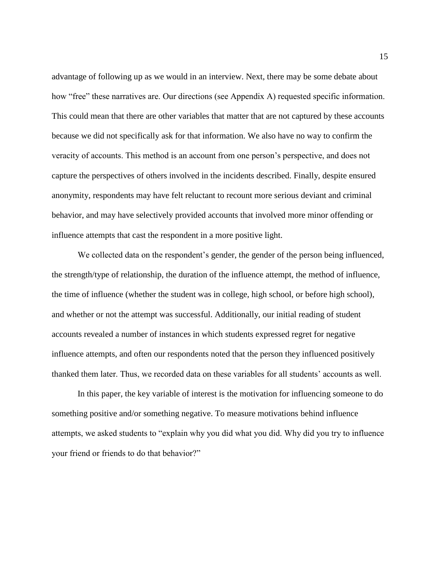advantage of following up as we would in an interview. Next, there may be some debate about how "free" these narratives are. Our directions (see Appendix A) requested specific information. This could mean that there are other variables that matter that are not captured by these accounts because we did not specifically ask for that information. We also have no way to confirm the veracity of accounts. This method is an account from one person's perspective, and does not capture the perspectives of others involved in the incidents described. Finally, despite ensured anonymity, respondents may have felt reluctant to recount more serious deviant and criminal behavior, and may have selectively provided accounts that involved more minor offending or influence attempts that cast the respondent in a more positive light.

We collected data on the respondent's gender, the gender of the person being influenced, the strength/type of relationship, the duration of the influence attempt, the method of influence, the time of influence (whether the student was in college, high school, or before high school), and whether or not the attempt was successful. Additionally, our initial reading of student accounts revealed a number of instances in which students expressed regret for negative influence attempts, and often our respondents noted that the person they influenced positively thanked them later. Thus, we recorded data on these variables for all students' accounts as well.

In this paper, the key variable of interest is the motivation for influencing someone to do something positive and/or something negative. To measure motivations behind influence attempts, we asked students to "explain why you did what you did. Why did you try to influence your friend or friends to do that behavior?"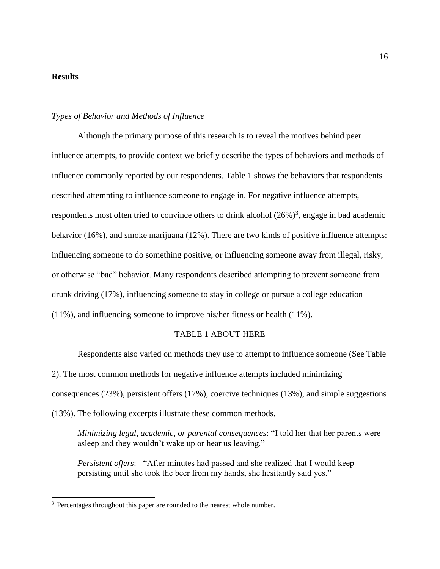### **Results**

 $\overline{a}$ 

#### *Types of Behavior and Methods of Influence*

Although the primary purpose of this research is to reveal the motives behind peer influence attempts, to provide context we briefly describe the types of behaviors and methods of influence commonly reported by our respondents. Table 1 shows the behaviors that respondents described attempting to influence someone to engage in. For negative influence attempts, respondents most often tried to convince others to drink alcohol  $(26\%)^3$ , engage in bad academic behavior (16%), and smoke marijuana (12%). There are two kinds of positive influence attempts: influencing someone to do something positive, or influencing someone away from illegal, risky, or otherwise "bad" behavior. Many respondents described attempting to prevent someone from drunk driving (17%), influencing someone to stay in college or pursue a college education (11%), and influencing someone to improve his/her fitness or health (11%).

#### TABLE 1 ABOUT HERE

Respondents also varied on methods they use to attempt to influence someone (See Table 2). The most common methods for negative influence attempts included minimizing consequences (23%), persistent offers (17%), coercive techniques (13%), and simple suggestions (13%). The following excerpts illustrate these common methods.

*Minimizing legal, academic, or parental consequences*: "I told her that her parents were asleep and they wouldn't wake up or hear us leaving."

*Persistent offers*: "After minutes had passed and she realized that I would keep persisting until she took the beer from my hands, she hesitantly said yes."

 $3$  Percentages throughout this paper are rounded to the nearest whole number.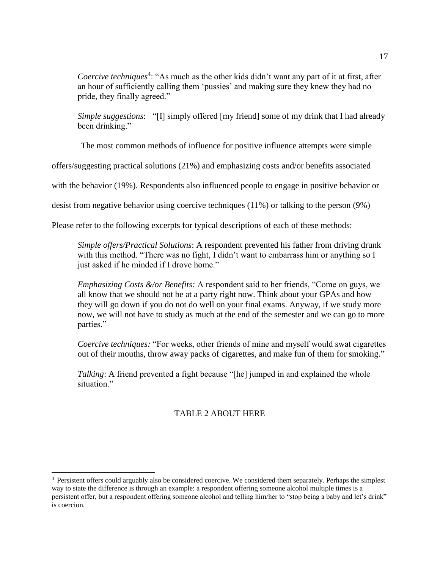Coercive techniques<sup>4</sup>: "As much as the other kids didn't want any part of it at first, after an hour of sufficiently calling them 'pussies' and making sure they knew they had no pride, they finally agreed."

*Simple suggestions*: "[I] simply offered [my friend] some of my drink that I had already been drinking."

The most common methods of influence for positive influence attempts were simple

offers/suggesting practical solutions (21%) and emphasizing costs and/or benefits associated

with the behavior (19%). Respondents also influenced people to engage in positive behavior or

desist from negative behavior using coercive techniques (11%) or talking to the person (9%)

Please refer to the following excerpts for typical descriptions of each of these methods:

*Simple offers/Practical Solutions*: A respondent prevented his father from driving drunk with this method. "There was no fight, I didn't want to embarrass him or anything so I just asked if he minded if I drove home."

*Emphasizing Costs &/or Benefits:* A respondent said to her friends, "Come on guys, we all know that we should not be at a party right now. Think about your GPAs and how they will go down if you do not do well on your final exams. Anyway, if we study more now, we will not have to study as much at the end of the semester and we can go to more parties."

*Coercive techniques:* "For weeks, other friends of mine and myself would swat cigarettes out of their mouths, throw away packs of cigarettes, and make fun of them for smoking."

*Talking*: A friend prevented a fight because "[he] jumped in and explained the whole situation."

## TABLE 2 ABOUT HERE

 $\overline{a}$ 

<sup>4</sup> Persistent offers could arguably also be considered coercive. We considered them separately. Perhaps the simplest way to state the difference is through an example: a respondent offering someone alcohol multiple times is a persistent offer, but a respondent offering someone alcohol and telling him/her to "stop being a baby and let's drink" is coercion.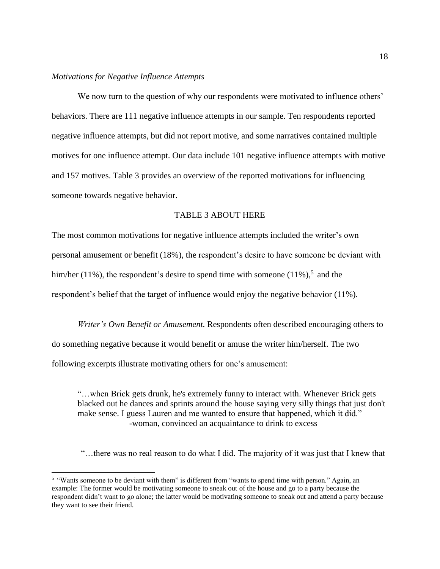#### *Motivations for Negative Influence Attempts*

 $\overline{a}$ 

We now turn to the question of why our respondents were motivated to influence others' behaviors. There are 111 negative influence attempts in our sample. Ten respondents reported negative influence attempts, but did not report motive, and some narratives contained multiple motives for one influence attempt. Our data include 101 negative influence attempts with motive and 157 motives. Table 3 provides an overview of the reported motivations for influencing someone towards negative behavior.

#### TABLE 3 ABOUT HERE

The most common motivations for negative influence attempts included the writer's own personal amusement or benefit (18%), the respondent's desire to have someone be deviant with him/her (11%), the respondent's desire to spend time with someone  $(11\%)$ , and the respondent's belief that the target of influence would enjoy the negative behavior (11%).

*Writer's Own Benefit or Amusement.* Respondents often described encouraging others to do something negative because it would benefit or amuse the writer him/herself. The two following excerpts illustrate motivating others for one's amusement:

"…when Brick gets drunk, he's extremely funny to interact with. Whenever Brick gets blacked out he dances and sprints around the house saying very silly things that just don't make sense. I guess Lauren and me wanted to ensure that happened, which it did." -woman, convinced an acquaintance to drink to excess

"…there was no real reason to do what I did. The majority of it was just that I knew that

<sup>&</sup>lt;sup>5</sup> "Wants someone to be deviant with them" is different from "wants to spend time with person." Again, an example: The former would be motivating someone to sneak out of the house and go to a party because the respondent didn't want to go alone; the latter would be motivating someone to sneak out and attend a party because they want to see their friend.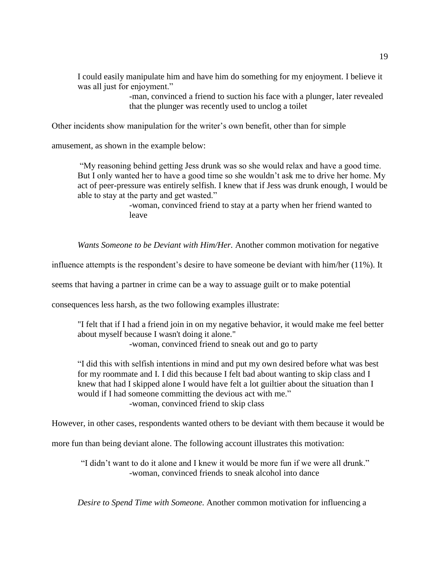I could easily manipulate him and have him do something for my enjoyment. I believe it was all just for enjoyment."

> -man, convinced a friend to suction his face with a plunger, later revealed that the plunger was recently used to unclog a toilet

Other incidents show manipulation for the writer's own benefit, other than for simple

amusement, as shown in the example below:

"My reasoning behind getting Jess drunk was so she would relax and have a good time. But I only wanted her to have a good time so she wouldn't ask me to drive her home. My act of peer-pressure was entirely selfish. I knew that if Jess was drunk enough, I would be able to stay at the party and get wasted."

> -woman, convinced friend to stay at a party when her friend wanted to leave

*Wants Someone to be Deviant with Him/Her.* Another common motivation for negative

influence attempts is the respondent's desire to have someone be deviant with him/her (11%). It

seems that having a partner in crime can be a way to assuage guilt or to make potential

consequences less harsh, as the two following examples illustrate:

"I felt that if I had a friend join in on my negative behavior, it would make me feel better about myself because I wasn't doing it alone." -woman, convinced friend to sneak out and go to party

"I did this with selfish intentions in mind and put my own desired before what was best for my roommate and I. I did this because I felt bad about wanting to skip class and I knew that had I skipped alone I would have felt a lot guiltier about the situation than I would if I had someone committing the devious act with me." -woman, convinced friend to skip class

However, in other cases, respondents wanted others to be deviant with them because it would be

more fun than being deviant alone. The following account illustrates this motivation:

"I didn't want to do it alone and I knew it would be more fun if we were all drunk." -woman, convinced friends to sneak alcohol into dance

*Desire to Spend Time with Someone.* Another common motivation for influencing a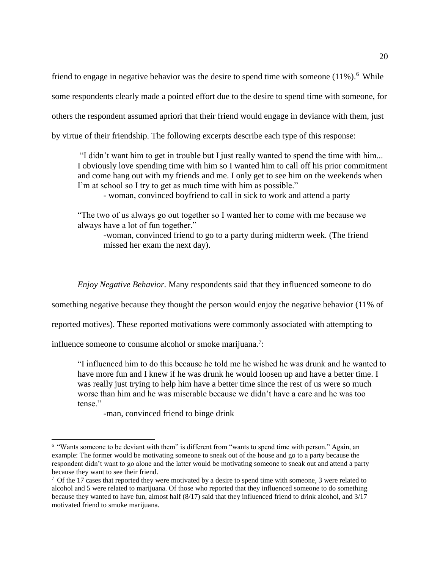friend to engage in negative behavior was the desire to spend time with someone  $(11\%)$ .<sup>6</sup> While some respondents clearly made a pointed effort due to the desire to spend time with someone, for others the respondent assumed apriori that their friend would engage in deviance with them, just by virtue of their friendship. The following excerpts describe each type of this response:

"I didn't want him to get in trouble but I just really wanted to spend the time with him... I obviously love spending time with him so I wanted him to call off his prior commitment and come hang out with my friends and me. I only get to see him on the weekends when I'm at school so I try to get as much time with him as possible."

- woman, convinced boyfriend to call in sick to work and attend a party

"The two of us always go out together so I wanted her to come with me because we always have a lot of fun together."

-woman, convinced friend to go to a party during midterm week. (The friend missed her exam the next day).

*Enjoy Negative Behavior.* Many respondents said that they influenced someone to do

something negative because they thought the person would enjoy the negative behavior (11% of

reported motives). These reported motivations were commonly associated with attempting to

influence someone to consume alcohol or smoke marijuana.<sup>7</sup>:

"I influenced him to do this because he told me he wished he was drunk and he wanted to have more fun and I knew if he was drunk he would loosen up and have a better time. I was really just trying to help him have a better time since the rest of us were so much worse than him and he was miserable because we didn't have a care and he was too tense."

-man, convinced friend to binge drink

l

<sup>&</sup>lt;sup>6</sup> "Wants someone to be deviant with them" is different from "wants to spend time with person." Again, an example: The former would be motivating someone to sneak out of the house and go to a party because the respondent didn't want to go alone and the latter would be motivating someone to sneak out and attend a party because they want to see their friend.

 $7$  Of the 17 cases that reported they were motivated by a desire to spend time with someone, 3 were related to alcohol and 5 were related to marijuana. Of those who reported that they influenced someone to do something because they wanted to have fun, almost half (8/17) said that they influenced friend to drink alcohol, and 3/17 motivated friend to smoke marijuana.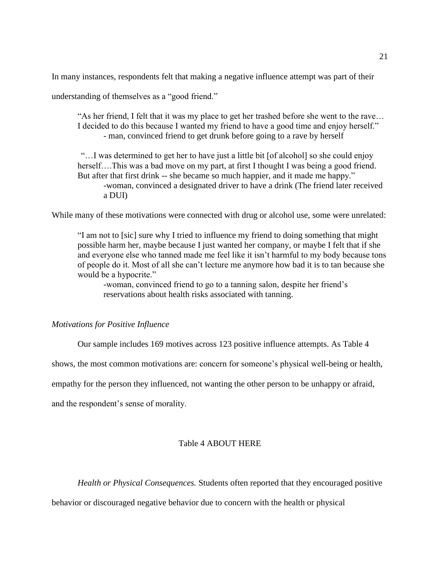In many instances, respondents felt that making a negative influence attempt was part of their

understanding of themselves as a "good friend."

"As her friend, I felt that it was my place to get her trashed before she went to the rave… I decided to do this because I wanted my friend to have a good time and enjoy herself." - man, convinced friend to get drunk before going to a rave by herself

"…I was determined to get her to have just a little bit [of alcohol] so she could enjoy herself....This was a bad move on my part, at first I thought I was being a good friend. But after that first drink -- she became so much happier, and it made me happy." -woman, convinced a designated driver to have a drink (The friend later received a DUI)

While many of these motivations were connected with drug or alcohol use, some were unrelated:

"I am not to [sic] sure why I tried to influence my friend to doing something that might possible harm her, maybe because I just wanted her company, or maybe I felt that if she and everyone else who tanned made me feel like it isn't harmful to my body because tons of people do it. Most of all she can't lecture me anymore how bad it is to tan because she would be a hypocrite."

-woman, convinced friend to go to a tanning salon, despite her friend's reservations about health risks associated with tanning.

#### *Motivations for Positive Influence*

Our sample includes 169 motives across 123 positive influence attempts. As Table 4

shows, the most common motivations are: concern for someone's physical well-being or health,

empathy for the person they influenced, not wanting the other person to be unhappy or afraid,

and the respondent's sense of morality.

#### Table 4 ABOUT HERE

*Health or Physical Consequences.* Students often reported that they encouraged positive

behavior or discouraged negative behavior due to concern with the health or physical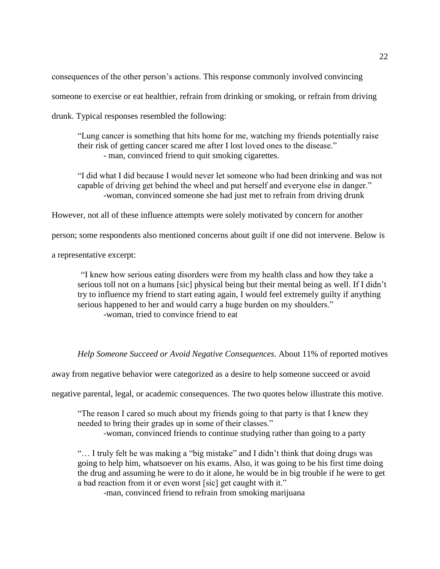consequences of the other person's actions. This response commonly involved convincing someone to exercise or eat healthier, refrain from drinking or smoking, or refrain from driving drunk. Typical responses resembled the following:

"Lung cancer is something that hits home for me, watching my friends potentially raise their risk of getting cancer scared me after I lost loved ones to the disease." - man, convinced friend to quit smoking cigarettes.

"I did what I did because I would never let someone who had been drinking and was not capable of driving get behind the wheel and put herself and everyone else in danger." -woman, convinced someone she had just met to refrain from driving drunk

However, not all of these influence attempts were solely motivated by concern for another

person; some respondents also mentioned concerns about guilt if one did not intervene. Below is

a representative excerpt:

"I knew how serious eating disorders were from my health class and how they take a serious toll not on a humans [sic] physical being but their mental being as well. If I didn't try to influence my friend to start eating again, I would feel extremely guilty if anything serious happened to her and would carry a huge burden on my shoulders." -woman, tried to convince friend to eat

*Help Someone Succeed or Avoid Negative Consequences.* About 11% of reported motives

away from negative behavior were categorized as a desire to help someone succeed or avoid

negative parental, legal, or academic consequences. The two quotes below illustrate this motive.

"The reason I cared so much about my friends going to that party is that I knew they needed to bring their grades up in some of their classes."

-woman, convinced friends to continue studying rather than going to a party

"… I truly felt he was making a "big mistake" and I didn't think that doing drugs was going to help him, whatsoever on his exams. Also, it was going to be his first time doing the drug and assuming he were to do it alone, he would be in big trouble if he were to get a bad reaction from it or even worst [sic] get caught with it."

-man, convinced friend to refrain from smoking marijuana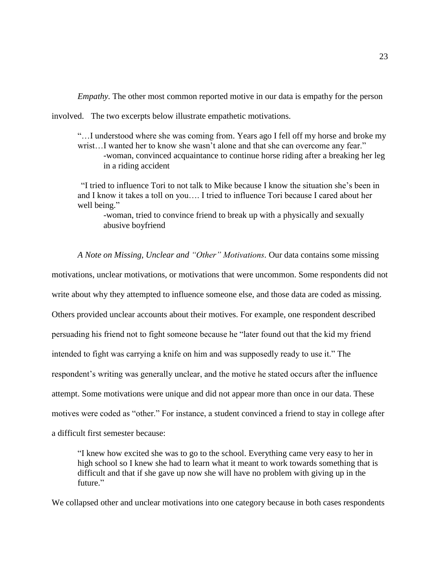*Empathy*. The other most common reported motive in our data is empathy for the person

involved. The two excerpts below illustrate empathetic motivations.

"…I understood where she was coming from. Years ago I fell off my horse and broke my wrist…I wanted her to know she wasn't alone and that she can overcome any fear." -woman, convinced acquaintance to continue horse riding after a breaking her leg in a riding accident

"I tried to influence Tori to not talk to Mike because I know the situation she's been in and I know it takes a toll on you…. I tried to influence Tori because I cared about her well being."

-woman, tried to convince friend to break up with a physically and sexually abusive boyfriend

*A Note on Missing, Unclear and "Other" Motivations.* Our data contains some missing motivations, unclear motivations, or motivations that were uncommon. Some respondents did not write about why they attempted to influence someone else, and those data are coded as missing. Others provided unclear accounts about their motives. For example, one respondent described persuading his friend not to fight someone because he "later found out that the kid my friend intended to fight was carrying a knife on him and was supposedly ready to use it." The respondent's writing was generally unclear, and the motive he stated occurs after the influence attempt. Some motivations were unique and did not appear more than once in our data. These motives were coded as "other." For instance, a student convinced a friend to stay in college after a difficult first semester because:

"I knew how excited she was to go to the school. Everything came very easy to her in high school so I knew she had to learn what it meant to work towards something that is difficult and that if she gave up now she will have no problem with giving up in the future."

We collapsed other and unclear motivations into one category because in both cases respondents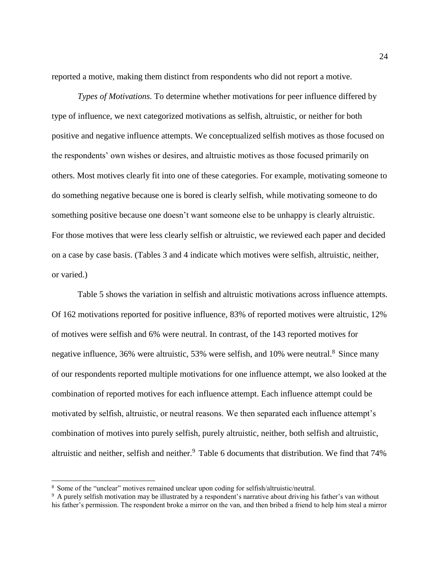reported a motive, making them distinct from respondents who did not report a motive.

*Types of Motivations.* To determine whether motivations for peer influence differed by type of influence, we next categorized motivations as selfish, altruistic, or neither for both positive and negative influence attempts. We conceptualized selfish motives as those focused on the respondents' own wishes or desires, and altruistic motives as those focused primarily on others. Most motives clearly fit into one of these categories. For example, motivating someone to do something negative because one is bored is clearly selfish, while motivating someone to do something positive because one doesn't want someone else to be unhappy is clearly altruistic. For those motives that were less clearly selfish or altruistic, we reviewed each paper and decided on a case by case basis. (Tables 3 and 4 indicate which motives were selfish, altruistic, neither, or varied.)

Table 5 shows the variation in selfish and altruistic motivations across influence attempts. Of 162 motivations reported for positive influence, 83% of reported motives were altruistic, 12% of motives were selfish and 6% were neutral. In contrast, of the 143 reported motives for negative influence, 36% were altruistic, 53% were selfish, and 10% were neutral.<sup>8</sup> Since many of our respondents reported multiple motivations for one influence attempt, we also looked at the combination of reported motives for each influence attempt. Each influence attempt could be motivated by selfish, altruistic, or neutral reasons. We then separated each influence attempt's combination of motives into purely selfish, purely altruistic, neither, both selfish and altruistic, altruistic and neither, selfish and neither.<sup>9</sup> Table 6 documents that distribution. We find that 74%

 $\overline{a}$ 

<sup>8</sup> Some of the "unclear" motives remained unclear upon coding for selfish/altruistic/neutral.

<sup>9</sup> A purely selfish motivation may be illustrated by a respondent's narrative about driving his father's van without his father's permission. The respondent broke a mirror on the van, and then bribed a friend to help him steal a mirror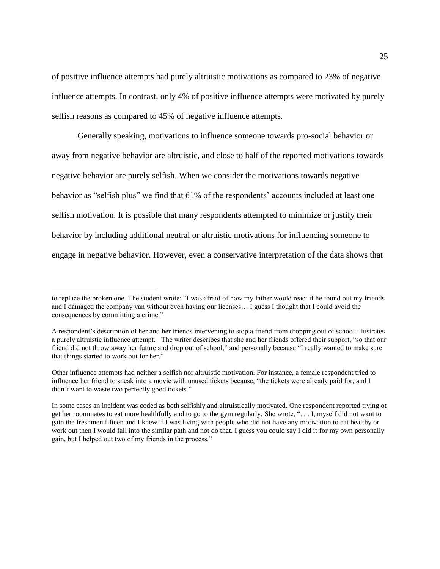of positive influence attempts had purely altruistic motivations as compared to 23% of negative influence attempts. In contrast, only 4% of positive influence attempts were motivated by purely selfish reasons as compared to 45% of negative influence attempts.

Generally speaking, motivations to influence someone towards pro-social behavior or away from negative behavior are altruistic, and close to half of the reported motivations towards negative behavior are purely selfish. When we consider the motivations towards negative behavior as "selfish plus" we find that 61% of the respondents' accounts included at least one selfish motivation. It is possible that many respondents attempted to minimize or justify their behavior by including additional neutral or altruistic motivations for influencing someone to engage in negative behavior. However, even a conservative interpretation of the data shows that

 $\overline{a}$ 

to replace the broken one. The student wrote: "I was afraid of how my father would react if he found out my friends and I damaged the company van without even having our licenses… I guess I thought that I could avoid the consequences by committing a crime."

A respondent's description of her and her friends intervening to stop a friend from dropping out of school illustrates a purely altruistic influence attempt. The writer describes that she and her friends offered their support, "so that our friend did not throw away her future and drop out of school," and personally because "I really wanted to make sure that things started to work out for her."

Other influence attempts had neither a selfish nor altruistic motivation. For instance, a female respondent tried to influence her friend to sneak into a movie with unused tickets because, "the tickets were already paid for, and I didn't want to waste two perfectly good tickets."

In some cases an incident was coded as both selfishly and altruistically motivated. One respondent reported trying ot get her roommates to eat more healthfully and to go to the gym regularly. She wrote, ". . . I, myself did not want to gain the freshmen fifteen and I knew if I was living with people who did not have any motivation to eat healthy or work out then I would fall into the similar path and not do that. I guess you could say I did it for my own personally gain, but I helped out two of my friends in the process."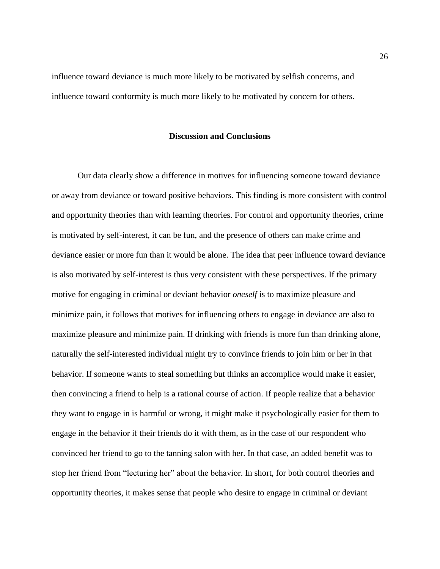influence toward deviance is much more likely to be motivated by selfish concerns, and influence toward conformity is much more likely to be motivated by concern for others.

#### **Discussion and Conclusions**

Our data clearly show a difference in motives for influencing someone toward deviance or away from deviance or toward positive behaviors. This finding is more consistent with control and opportunity theories than with learning theories. For control and opportunity theories, crime is motivated by self-interest, it can be fun, and the presence of others can make crime and deviance easier or more fun than it would be alone. The idea that peer influence toward deviance is also motivated by self-interest is thus very consistent with these perspectives. If the primary motive for engaging in criminal or deviant behavior *oneself* is to maximize pleasure and minimize pain, it follows that motives for influencing others to engage in deviance are also to maximize pleasure and minimize pain. If drinking with friends is more fun than drinking alone, naturally the self-interested individual might try to convince friends to join him or her in that behavior. If someone wants to steal something but thinks an accomplice would make it easier, then convincing a friend to help is a rational course of action. If people realize that a behavior they want to engage in is harmful or wrong, it might make it psychologically easier for them to engage in the behavior if their friends do it with them, as in the case of our respondent who convinced her friend to go to the tanning salon with her. In that case, an added benefit was to stop her friend from "lecturing her" about the behavior. In short, for both control theories and opportunity theories, it makes sense that people who desire to engage in criminal or deviant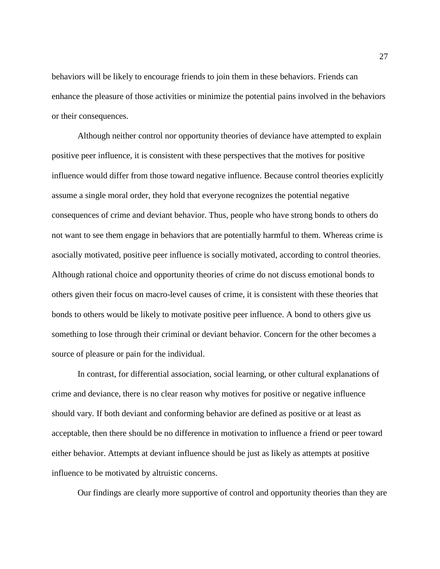behaviors will be likely to encourage friends to join them in these behaviors. Friends can enhance the pleasure of those activities or minimize the potential pains involved in the behaviors or their consequences.

Although neither control nor opportunity theories of deviance have attempted to explain positive peer influence, it is consistent with these perspectives that the motives for positive influence would differ from those toward negative influence. Because control theories explicitly assume a single moral order, they hold that everyone recognizes the potential negative consequences of crime and deviant behavior. Thus, people who have strong bonds to others do not want to see them engage in behaviors that are potentially harmful to them. Whereas crime is asocially motivated, positive peer influence is socially motivated, according to control theories. Although rational choice and opportunity theories of crime do not discuss emotional bonds to others given their focus on macro-level causes of crime, it is consistent with these theories that bonds to others would be likely to motivate positive peer influence. A bond to others give us something to lose through their criminal or deviant behavior. Concern for the other becomes a source of pleasure or pain for the individual.

In contrast, for differential association, social learning, or other cultural explanations of crime and deviance, there is no clear reason why motives for positive or negative influence should vary. If both deviant and conforming behavior are defined as positive or at least as acceptable, then there should be no difference in motivation to influence a friend or peer toward either behavior. Attempts at deviant influence should be just as likely as attempts at positive influence to be motivated by altruistic concerns.

Our findings are clearly more supportive of control and opportunity theories than they are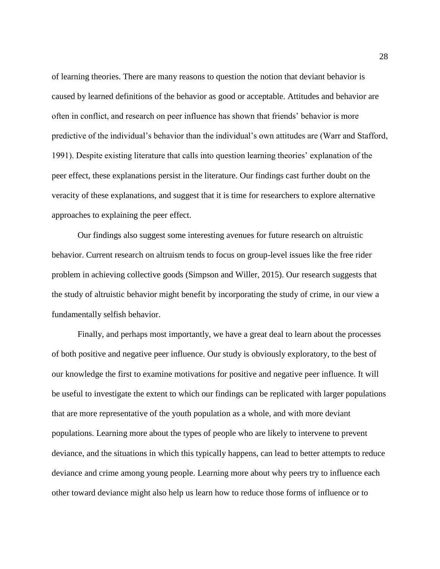of learning theories. There are many reasons to question the notion that deviant behavior is caused by learned definitions of the behavior as good or acceptable. Attitudes and behavior are often in conflict, and research on peer influence has shown that friends' behavior is more predictive of the individual's behavior than the individual's own attitudes are (Warr and Stafford, 1991). Despite existing literature that calls into question learning theories' explanation of the peer effect, these explanations persist in the literature. Our findings cast further doubt on the veracity of these explanations, and suggest that it is time for researchers to explore alternative approaches to explaining the peer effect.

Our findings also suggest some interesting avenues for future research on altruistic behavior. Current research on altruism tends to focus on group-level issues like the free rider problem in achieving collective goods (Simpson and Willer, 2015). Our research suggests that the study of altruistic behavior might benefit by incorporating the study of crime, in our view a fundamentally selfish behavior.

Finally, and perhaps most importantly, we have a great deal to learn about the processes of both positive and negative peer influence. Our study is obviously exploratory, to the best of our knowledge the first to examine motivations for positive and negative peer influence. It will be useful to investigate the extent to which our findings can be replicated with larger populations that are more representative of the youth population as a whole, and with more deviant populations. Learning more about the types of people who are likely to intervene to prevent deviance, and the situations in which this typically happens, can lead to better attempts to reduce deviance and crime among young people. Learning more about why peers try to influence each other toward deviance might also help us learn how to reduce those forms of influence or to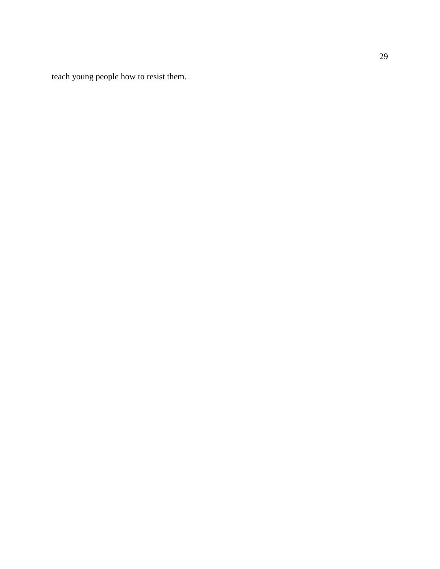teach young people how to resist them.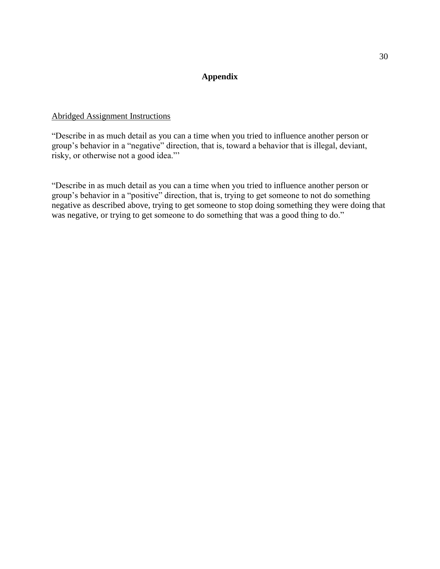## **Appendix**

## Abridged Assignment Instructions

"Describe in as much detail as you can a time when you tried to influence another person or group's behavior in a "negative" direction, that is, toward a behavior that is illegal, deviant, risky, or otherwise not a good idea."'

"Describe in as much detail as you can a time when you tried to influence another person or group's behavior in a "positive" direction, that is, trying to get someone to not do something negative as described above, trying to get someone to stop doing something they were doing that was negative, or trying to get someone to do something that was a good thing to do."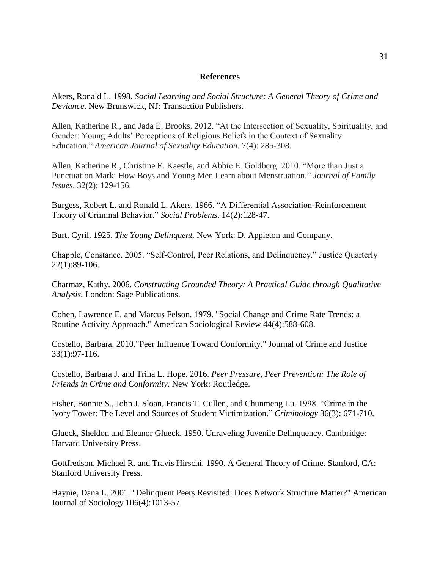#### **References**

Akers, Ronald L. 1998. *Social Learning and Social Structure: A General Theory of Crime and Deviance*. New Brunswick, NJ: Transaction Publishers.

Allen, Katherine R., and Jada E. Brooks. 2012. "At the Intersection of Sexuality, Spirituality, and Gender: Young Adults' Perceptions of Religious Beliefs in the Context of Sexuality Education." *American Journal of Sexuality Education*. 7(4): 285-308.

Allen, Katherine R., Christine E. Kaestle, and Abbie E. Goldberg. 2010. "More than Just a Punctuation Mark: How Boys and Young Men Learn about Menstruation." *Journal of Family Issues*. 32(2): 129-156.

Burgess, Robert L. and Ronald L. Akers. 1966. "A Differential Association-Reinforcement Theory of Criminal Behavior." *Social Problems*. 14(2):128-47.

Burt, Cyril. 1925. *The Young Delinquent.* New York: D. Appleton and Company.

Chapple, Constance. 2005. "Self-Control, Peer Relations, and Delinquency." Justice Quarterly 22(1):89-106.

Charmaz, Kathy. 2006. *Constructing Grounded Theory: A Practical Guide through Qualitative Analysis.* London: Sage Publications.

Cohen, Lawrence E. and Marcus Felson. 1979. "Social Change and Crime Rate Trends: a Routine Activity Approach." American Sociological Review 44(4):588-608.

Costello, Barbara. 2010."Peer Influence Toward Conformity." Journal of Crime and Justice 33(1):97-116.

Costello, Barbara J. and Trina L. Hope. 2016. *Peer Pressure, Peer Prevention: The Role of Friends in Crime and Conformity*. New York: Routledge.

Fisher, Bonnie S., John J. Sloan, Francis T. Cullen, and Chunmeng Lu. 1998. "Crime in the Ivory Tower: The Level and Sources of Student Victimization." *Criminology* 36(3): 671-710.

Glueck, Sheldon and Eleanor Glueck. 1950. Unraveling Juvenile Delinquency. Cambridge: Harvard University Press.

Gottfredson, Michael R. and Travis Hirschi. 1990. A General Theory of Crime. Stanford, CA: Stanford University Press.

Haynie, Dana L. 2001. "Delinquent Peers Revisited: Does Network Structure Matter?" American Journal of Sociology 106(4):1013-57.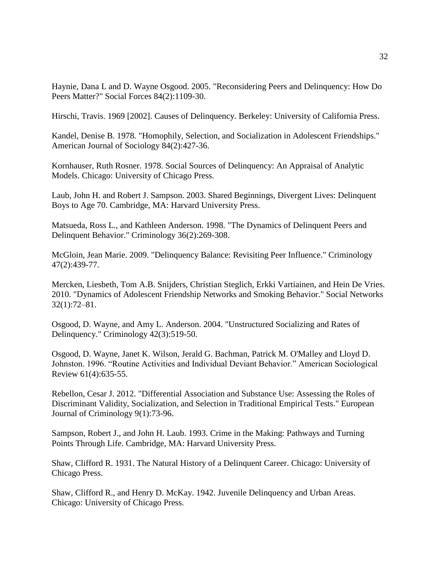Haynie, Dana L and D. Wayne Osgood. 2005. "Reconsidering Peers and Delinquency: How Do Peers Matter?" Social Forces 84(2):1109-30.

Hirschi, Travis. 1969 [2002]. Causes of Delinquency. Berkeley: University of California Press.

Kandel, Denise B. 1978. "Homophily, Selection, and Socialization in Adolescent Friendships." American Journal of Sociology 84(2):427-36.

Kornhauser, Ruth Rosner. 1978. Social Sources of Delinquency: An Appraisal of Analytic Models. Chicago: University of Chicago Press.

Laub, John H. and Robert J. Sampson. 2003. Shared Beginnings, Divergent Lives: Delinquent Boys to Age 70. Cambridge, MA: Harvard University Press.

Matsueda, Ross L., and Kathleen Anderson. 1998. "The Dynamics of Delinquent Peers and Delinquent Behavior." Criminology 36(2):269-308.

McGloin, Jean Marie. 2009. "Delinquency Balance: Revisiting Peer Influence." Criminology 47(2):439-77.

Mercken, Liesbeth, Tom A.B. Snijders, Christian Steglich, Erkki Vartiainen, and Hein De Vries. 2010. "Dynamics of Adolescent Friendship Networks and Smoking Behavior." Social Networks 32(1):72–81.

Osgood, D. Wayne, and Amy L. Anderson. 2004. "Unstructured Socializing and Rates of Delinquency." Criminology 42(3):519-50.

Osgood, D. Wayne, Janet K. Wilson, Jerald G. Bachman, Patrick M. O'Malley and Lloyd D. Johnston. 1996. "Routine Activities and Individual Deviant Behavior." American Sociological Review 61(4):635-55.

Rebellon, Cesar J. 2012. "Differential Association and Substance Use: Assessing the Roles of Discriminant Validity, Socialization, and Selection in Traditional Empirical Tests." European Journal of Criminology 9(1):73-96.

Sampson, Robert J., and John H. Laub. 1993. Crime in the Making: Pathways and Turning Points Through Life. Cambridge, MA: Harvard University Press.

Shaw, Clifford R. 1931. The Natural History of a Delinquent Career. Chicago: University of Chicago Press.

Shaw, Clifford R., and Henry D. McKay. 1942. Juvenile Delinquency and Urban Areas. Chicago: University of Chicago Press.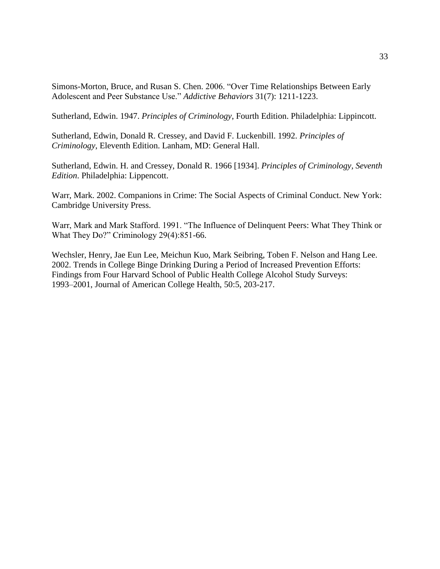Simons-Morton, Bruce, and Rusan S. Chen. 2006. "Over Time Relationships Between Early Adolescent and Peer Substance Use." *Addictive Behaviors* 31(7): 1211-1223.

Sutherland, Edwin. 1947. *Principles of Criminology*, Fourth Edition. Philadelphia: Lippincott.

Sutherland, Edwin, Donald R. Cressey, and David F. Luckenbill. 1992. *Principles of Criminology*, Eleventh Edition. Lanham, MD: General Hall.

Sutherland, Edwin. H. and Cressey, Donald R. 1966 [1934]. *Principles of Criminology, Seventh Edition*. Philadelphia: Lippencott.

Warr, Mark. 2002. Companions in Crime: The Social Aspects of Criminal Conduct. New York: Cambridge University Press.

Warr, Mark and Mark Stafford. 1991. "The Influence of Delinquent Peers: What They Think or What They Do?" Criminology 29(4):851-66.

Wechsler, Henry, Jae Eun Lee, Meichun Kuo, Mark Seibring, Toben F. Nelson and Hang Lee. 2002. Trends in College Binge Drinking During a Period of Increased Prevention Efforts: Findings from Four Harvard School of Public Health College Alcohol Study Surveys: 1993–2001, Journal of American College Health, 50:5, 203-217.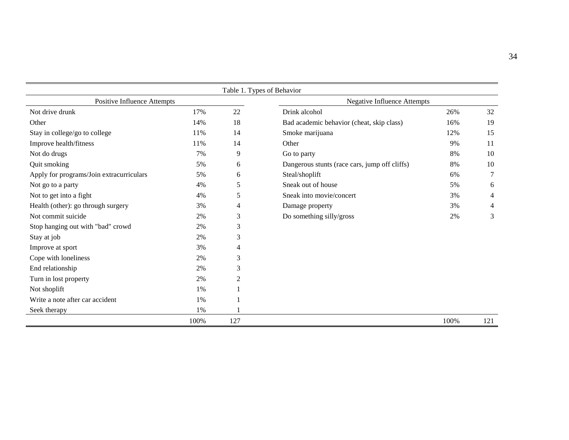|                                          |      |     | Table 1. Types of Behavior                    |      |                |
|------------------------------------------|------|-----|-----------------------------------------------|------|----------------|
| Positive Influence Attempts              |      |     | <b>Negative Influence Attempts</b>            |      |                |
| Not drive drunk                          | 17%  | 22  | Drink alcohol                                 | 26%  | 32             |
| Other                                    | 14%  | 18  | Bad academic behavior (cheat, skip class)     | 16%  | 19             |
| Stay in college/go to college            | 11%  | 14  | Smoke marijuana                               | 12%  | 15             |
| Improve health/fitness                   | 11%  | 14  | Other                                         | 9%   | 11             |
| Not do drugs                             | 7%   | 9   | Go to party                                   | 8%   | 10             |
| Quit smoking                             | 5%   | 6   | Dangerous stunts (race cars, jump off cliffs) | 8%   | 10             |
| Apply for programs/Join extracurriculars | 5%   | 6   | Steal/shoplift                                | 6%   | $\tau$         |
| Not go to a party                        | 4%   | 5   | Sneak out of house                            | 5%   | 6              |
| Not to get into a fight                  | 4%   | 5   | Sneak into movie/concert                      | 3%   | $\overline{4}$ |
| Health (other): go through surgery       | 3%   | 4   | Damage property                               | 3%   | 4              |
| Not commit suicide                       | 2%   | 3   | Do something silly/gross                      | 2%   | 3              |
| Stop hanging out with "bad" crowd        | 2%   | 3   |                                               |      |                |
| Stay at job                              | 2%   | 3   |                                               |      |                |
| Improve at sport                         | 3%   | 4   |                                               |      |                |
| Cope with loneliness                     | 2%   | 3   |                                               |      |                |
| End relationship                         | 2%   | 3   |                                               |      |                |
| Turn in lost property                    | 2%   | 2   |                                               |      |                |
| Not shoplift                             | 1%   |     |                                               |      |                |
| Write a note after car accident          | 1%   |     |                                               |      |                |
| Seek therapy                             | 1%   |     |                                               |      |                |
|                                          | 100% | 127 |                                               | 100% | 121            |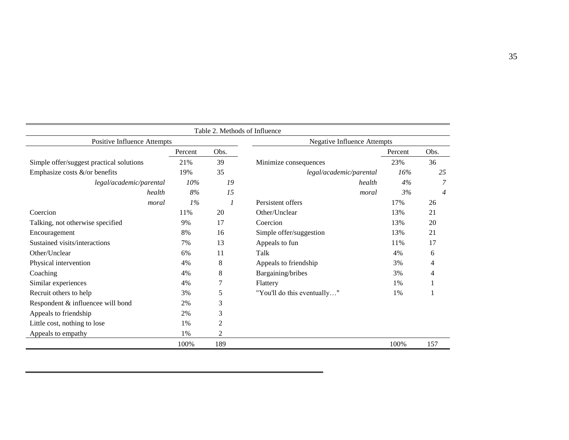|                                          |         | Table 2. Methods of Influence      |                             |         |      |  |  |
|------------------------------------------|---------|------------------------------------|-----------------------------|---------|------|--|--|
| Positive Influence Attempts              |         | <b>Negative Influence Attempts</b> |                             |         |      |  |  |
|                                          | Percent | Obs.                               |                             | Percent | Obs. |  |  |
| Simple offer/suggest practical solutions | 21%     | 39                                 | Minimize consequences       | 23%     | 36   |  |  |
| Emphasize costs $\&$ /or benefits        | 19%     | 35                                 | legal/academic/parental     | 16%     | 25   |  |  |
| legal/academic/parental                  | 10%     | 19                                 | health                      | 4%      | 7    |  |  |
| health                                   | 8%      | 15                                 | moral                       | 3%      | 4    |  |  |
| moral                                    | 1%      | $\boldsymbol{\eta}$                | Persistent offers           | 17%     | 26   |  |  |
| Coercion                                 | 11%     | 20                                 | Other/Unclear               | 13%     | 21   |  |  |
| Talking, not otherwise specified         | 9%      | 17                                 | Coercion                    | 13%     | 20   |  |  |
| Encouragement                            | 8%      | 16                                 | Simple offer/suggestion     | 13%     | 21   |  |  |
| Sustained visits/interactions            | 7%      | 13                                 | Appeals to fun              | 11%     | 17   |  |  |
| Other/Unclear                            | 6%      | 11                                 | Talk                        | 4%      | 6    |  |  |
| Physical intervention                    | 4%      | 8                                  | Appeals to friendship       | 3%      | 4    |  |  |
| Coaching                                 | 4%      | 8                                  | Bargaining/bribes           | 3%      | 4    |  |  |
| Similar experiences                      | 4%      | 7                                  | Flattery                    | 1%      |      |  |  |
| Recruit others to help                   | 3%      | 5                                  | "You'll do this eventually" | 1%      |      |  |  |
| Respondent & influencee will bond        | 2%      | 3                                  |                             |         |      |  |  |
| Appeals to friendship                    | 2%      | 3                                  |                             |         |      |  |  |
| Little cost, nothing to lose             | 1%      | 2                                  |                             |         |      |  |  |
| Appeals to empathy                       | 1%      | 2                                  |                             |         |      |  |  |
|                                          | 100%    | 189                                |                             | 100%    | 157  |  |  |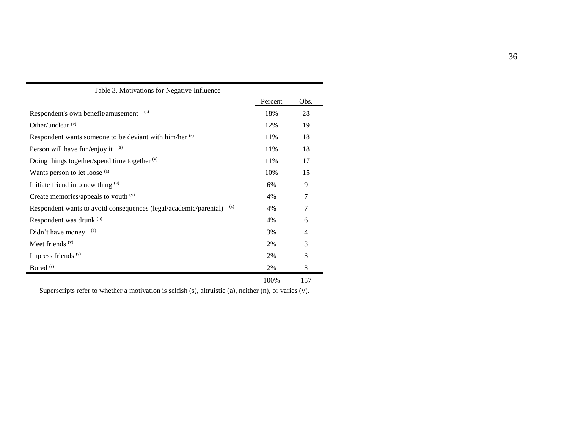|                                                                         | Percent | Obs. |
|-------------------------------------------------------------------------|---------|------|
| (s)<br>Respondent's own benefit/amusement                               | 18%     | 28   |
| Other/unclear $(v)$                                                     | 12%     | 19   |
| Respondent wants someone to be deviant with him/her (s)                 | 11%     | 18   |
| Person will have fun/enjoy it (a)                                       | 11%     | 18   |
| Doing things together/spend time together $(v)$                         | 11%     | 17   |
| Wants person to let loose (a)                                           | 10%     | 15   |
| Initiate friend into new thing (a)                                      | 6%      | 9    |
| Create memories/appeals to youth $(v)$                                  | 4%      | 7    |
| (s)<br>Respondent wants to avoid consequences (legal/academic/parental) | 4%      | 7    |
| Respondent was drunk (n)                                                | 4%      | 6    |
| Didn't have money (a)                                                   | 3%      | 4    |
| Meet friends $(v)$                                                      | 2%      | 3    |
| Impress friends <sup>(s)</sup>                                          | 2%      | 3    |
| Bored <sup>(s)</sup>                                                    | 2%      | 3    |
|                                                                         | 100%    | 157  |

Superscripts refer to whether a motivation is selfish (s), altruistic (a), neither (n), or varies (v).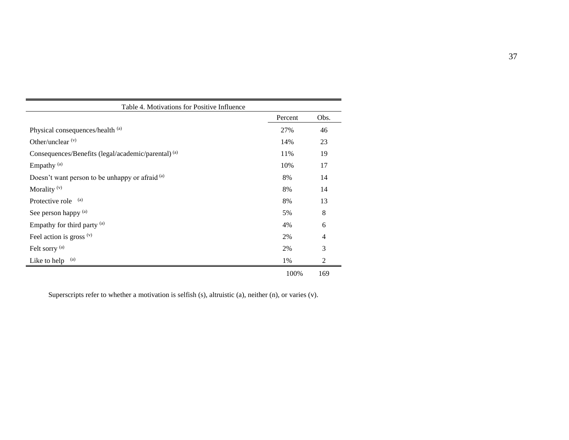| Table 4. Motivations for Positive Influence                    |         |                |
|----------------------------------------------------------------|---------|----------------|
|                                                                | Percent | Obs.           |
| Physical consequences/health (a)                               | 27%     | 46             |
| Other/unclear $(v)$                                            | 14%     | 23             |
| Consequences/Benefits (legal/academic/parental) <sup>(a)</sup> | 11%     | 19             |
| Empathy <sup>(a)</sup>                                         | 10%     | 17             |
| Doesn't want person to be unhappy or afraid (a)                | 8%      | 14             |
| Morality <sup>(v)</sup>                                        | 8%      | 14             |
| (a)<br>Protective role                                         | 8%      | 13             |
| See person happy (a)                                           | 5%      | 8              |
| Empathy for third party (a)                                    | 4%      | 6              |
| Feel action is gross $(v)$                                     | 2%      | $\overline{4}$ |
| Felt sorry <sup>(a)</sup>                                      | 2%      | 3              |
| Like to help (a)                                               | 1%      | $\overline{2}$ |
|                                                                | 100%    | 169            |

Superscripts refer to whether a motivation is selfish (s), altruistic (a), neither (n), or varies (v).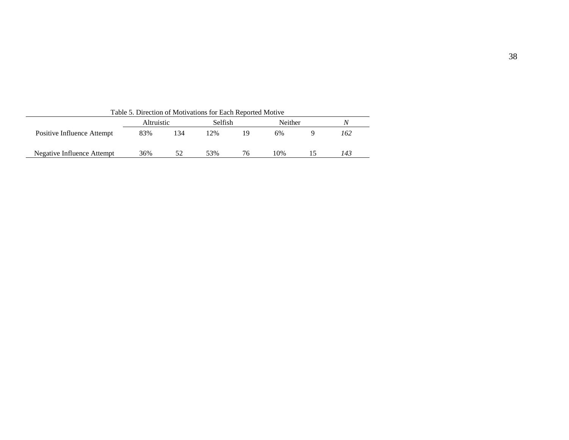| Table 5. Direction of Motivations for Each Reported Motive |                   |     |                |    |         |   |     |  |  |  |  |
|------------------------------------------------------------|-------------------|-----|----------------|----|---------|---|-----|--|--|--|--|
|                                                            | <i>Altruistic</i> |     | <b>Selfish</b> |    | Neither | N |     |  |  |  |  |
| Positive Influence Attempt                                 | 83%               | 134 | 12%            | 19 | 6%      |   | 162 |  |  |  |  |
| Negative Influence Attempt                                 | 36%               | 52  | 53%            | 76 | 10%     |   | 143 |  |  |  |  |

38